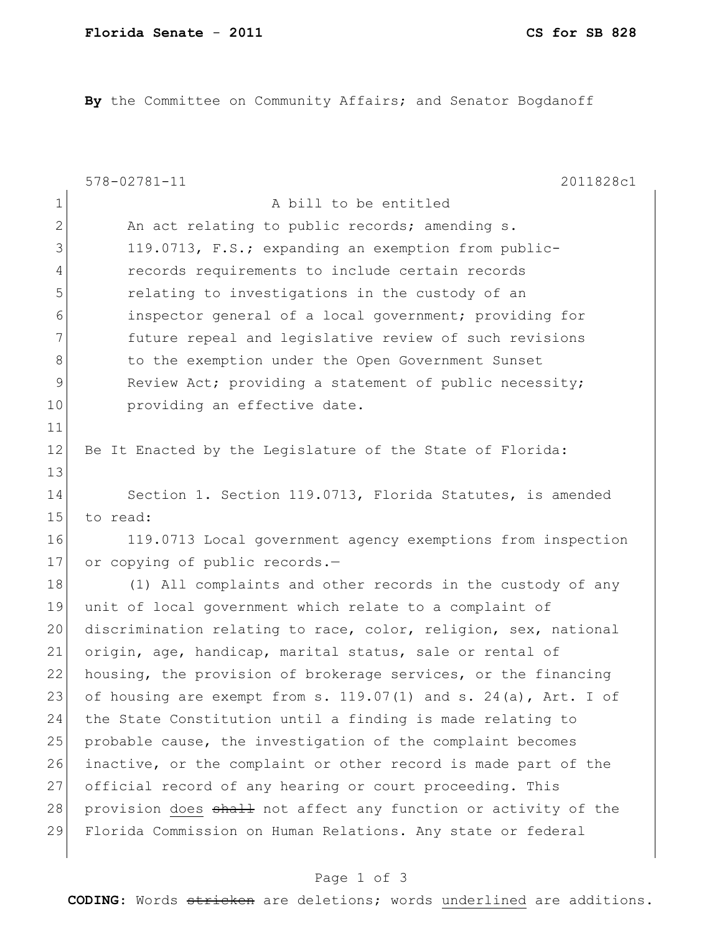**By** the Committee on Community Affairs; and Senator Bogdanoff

|                | $578 - 02781 - 11$<br>2011828c1                                      |
|----------------|----------------------------------------------------------------------|
| 1              | A bill to be entitled                                                |
| $\mathbf{2}$   | An act relating to public records; amending s.                       |
| 3              | 119.0713, F.S.; expanding an exemption from public-                  |
| $\overline{4}$ | records requirements to include certain records                      |
| 5              | relating to investigations in the custody of an                      |
| 6              | inspector general of a local government; providing for               |
| 7              | future repeal and legislative review of such revisions               |
| 8              | to the exemption under the Open Government Sunset                    |
| 9              | Review Act; providing a statement of public necessity;               |
| 10             | providing an effective date.                                         |
| 11             |                                                                      |
| 12             | Be It Enacted by the Legislature of the State of Florida:            |
| 13             |                                                                      |
| 14             | Section 1. Section 119.0713, Florida Statutes, is amended            |
| 15             | to read:                                                             |
| 16             | 119.0713 Local government agency exemptions from inspection          |
| 17             | or copying of public records.-                                       |
| 18             | (1) All complaints and other records in the custody of any           |
| 19             | unit of local government which relate to a complaint of              |
| 20             | discrimination relating to race, color, religion, sex, national      |
| 21             | origin, age, handicap, marital status, sale or rental of             |
| 22             | housing, the provision of brokerage services, or the financing       |
| 23             | of housing are exempt from s. $119.07(1)$ and s. $24(a)$ , Art. I of |
| 24             | the State Constitution until a finding is made relating to           |
| 25             | probable cause, the investigation of the complaint becomes           |
| 26             | inactive, or the complaint or other record is made part of the       |
| 27             | official record of any hearing or court proceeding. This             |
| 28             | provision does shall not affect any function or activity of the      |
| 29             | Florida Commission on Human Relations. Any state or federal          |
|                |                                                                      |

## Page 1 of 3

**CODING**: Words stricken are deletions; words underlined are additions.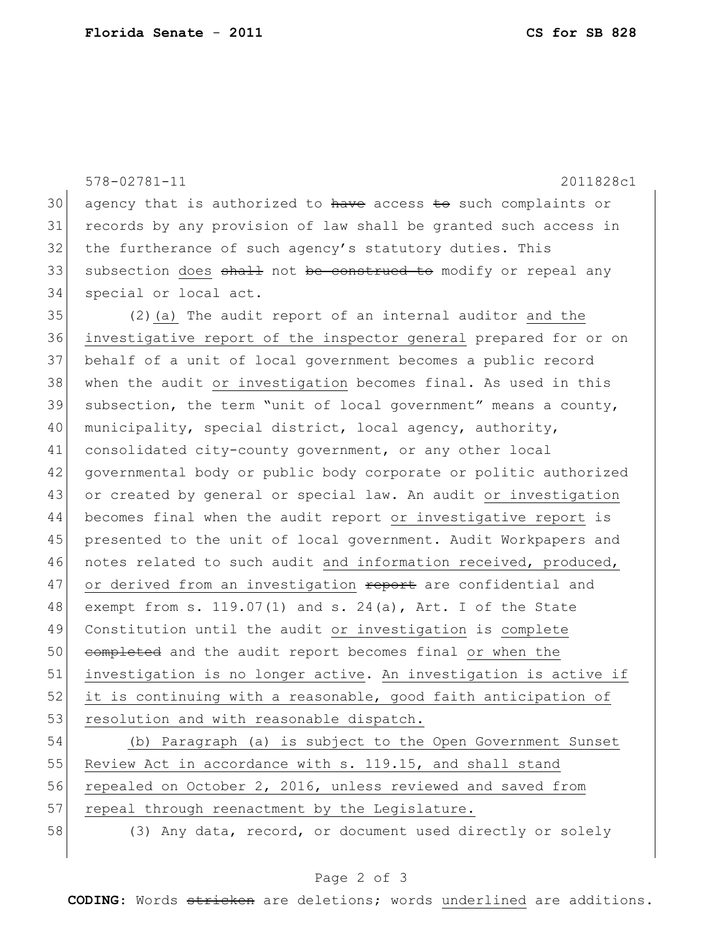|    | $578 - 02781 - 11$<br>2011828c1                                  |
|----|------------------------------------------------------------------|
| 30 | agency that is authorized to have access to such complaints or   |
| 31 | records by any provision of law shall be granted such access in  |
| 32 | the furtherance of such agency's statutory duties. This          |
| 33 | subsection does shall not be construed to modify or repeal any   |
| 34 | special or local act.                                            |
| 35 | (2) (a) The audit report of an internal auditor and the          |
| 36 | investigative report of the inspector general prepared for or on |
| 37 | behalf of a unit of local government becomes a public record     |
| 38 | when the audit or investigation becomes final. As used in this   |
| 39 | subsection, the term "unit of local government" means a county,  |
| 40 | municipality, special district, local agency, authority,         |
| 41 | consolidated city-county government, or any other local          |
| 42 | governmental body or public body corporate or politic authorized |
| 43 | or created by general or special law. An audit or investigation  |
| 44 | becomes final when the audit report or investigative report is   |
| 45 | presented to the unit of local government. Audit Workpapers and  |
| 46 | notes related to such audit and information received, produced,  |
| 47 | or derived from an investigation report are confidential and     |
| 48 | exempt from s. 119.07(1) and s. 24(a), Art. I of the State       |
| 49 | Constitution until the audit or investigation is complete        |
| 50 | completed and the audit report becomes final or when the         |
| 51 | investigation is no longer active. An investigation is active if |
| 52 | it is continuing with a reasonable, good faith anticipation of   |
| 53 | resolution and with reasonable dispatch.                         |
| 54 | (b) Paragraph (a) is subject to the Open Government Sunset       |
| 55 | Review Act in accordance with s. 119.15, and shall stand         |

 $57$  repeal through reenactment by the Legislature.

56 repealed on October 2, 2016, unless reviewed and saved from

58 (3) Any data, record, or document used directly or solely

## Page 2 of 3

**CODING**: Words stricken are deletions; words underlined are additions.